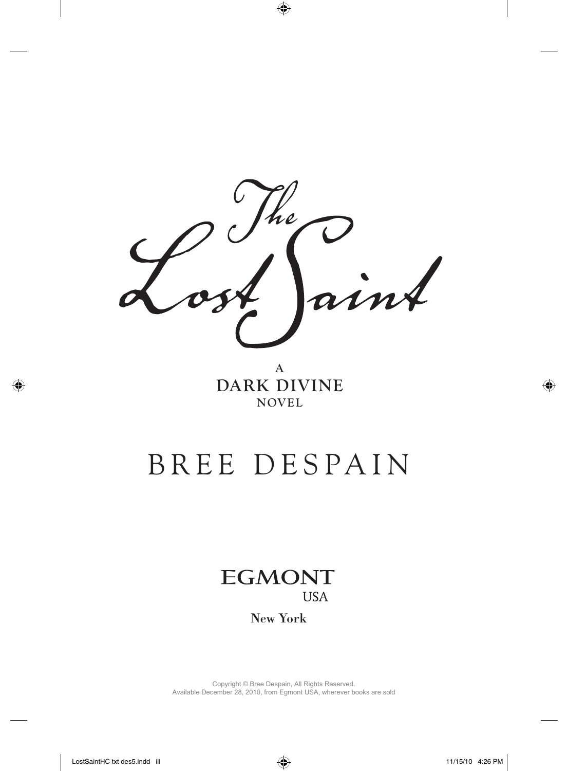he

**A DARK DIVINE NOVEL**

## BREE DESPAIN



New York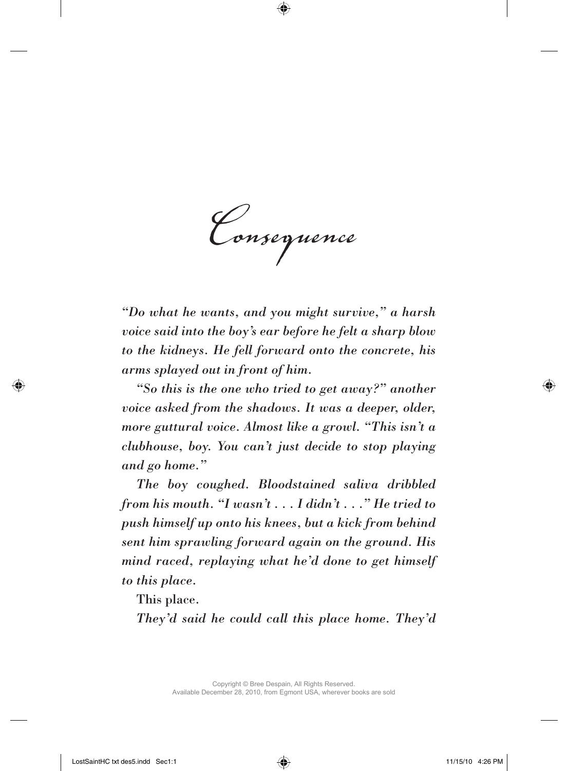*Consequence*

*"Do what he wants, and you might survive," a harsh voice said into the boy's ear before he felt a sharp blow to the kidneys. He fell forward onto the concrete, his arms splayed out in front of him.*

*"So this is the one who tried to get away?" another voice asked from the shadows. It was a deeper, older, more guttural voice. Almost like a growl. "This isn't a clubhouse, boy. You can't just decide to stop playing and go home."*

*The boy coughed. Bloodstained saliva dribbled from his mouth. "I wasn't . . . I didn't . . ." He tried to push himself up onto his knees, but a kick from behind sent him sprawling forward again on the ground. His mind raced, replaying what he'd done to get himself to this place.*

This place.

*They'd said he could call this place home. They'd*